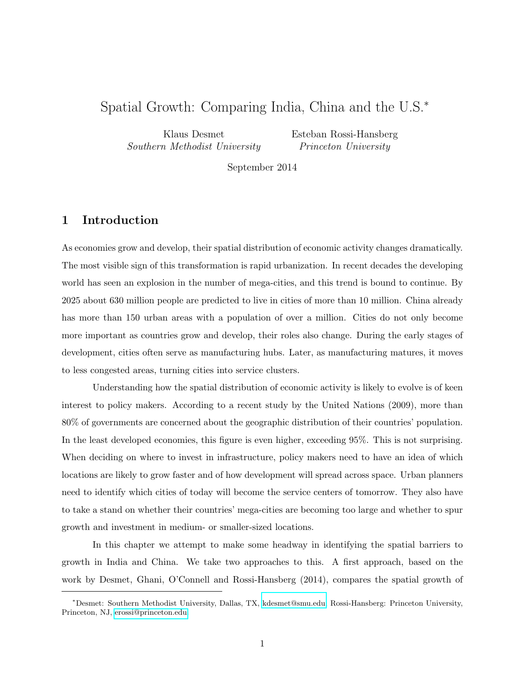# Spatial Growth: Comparing India, China and the U.S.<sup>∗</sup>

Klaus Desmet Southern Methodist University Esteban Rossi-Hansberg Princeton University

September 2014

#### 1 Introduction

As economies grow and develop, their spatial distribution of economic activity changes dramatically. The most visible sign of this transformation is rapid urbanization. In recent decades the developing world has seen an explosion in the number of mega-cities, and this trend is bound to continue. By 2025 about 630 million people are predicted to live in cities of more than 10 million. China already has more than 150 urban areas with a population of over a million. Cities do not only become more important as countries grow and develop, their roles also change. During the early stages of development, cities often serve as manufacturing hubs. Later, as manufacturing matures, it moves to less congested areas, turning cities into service clusters.

Understanding how the spatial distribution of economic activity is likely to evolve is of keen interest to policy makers. According to a recent study by the United Nations (2009), more than 80% of governments are concerned about the geographic distribution of their countries' population. In the least developed economies, this figure is even higher, exceeding 95%. This is not surprising. When deciding on where to invest in infrastructure, policy makers need to have an idea of which locations are likely to grow faster and of how development will spread across space. Urban planners need to identify which cities of today will become the service centers of tomorrow. They also have to take a stand on whether their countries' mega-cities are becoming too large and whether to spur growth and investment in medium- or smaller-sized locations.

In this chapter we attempt to make some headway in identifying the spatial barriers to growth in India and China. We take two approaches to this. A first approach, based on the work by Desmet, Ghani, O'Connell and Rossi-Hansberg (2014), compares the spatial growth of

<sup>∗</sup>Desmet: Southern Methodist University, Dallas, TX, [kdesmet@smu.edu,](mailto:kdesmet@smu.edu) Rossi-Hansberg: Princeton University, Princeton, NJ, [erossi@princeton.edu.](mailto:erossi@princeton.edu)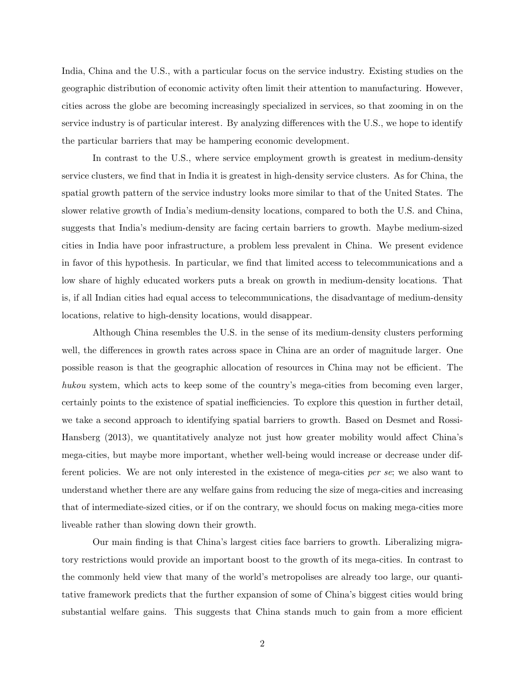India, China and the U.S., with a particular focus on the service industry. Existing studies on the geographic distribution of economic activity often limit their attention to manufacturing. However, cities across the globe are becoming increasingly specialized in services, so that zooming in on the service industry is of particular interest. By analyzing differences with the U.S., we hope to identify the particular barriers that may be hampering economic development.

In contrast to the U.S., where service employment growth is greatest in medium-density service clusters, we find that in India it is greatest in high-density service clusters. As for China, the spatial growth pattern of the service industry looks more similar to that of the United States. The slower relative growth of India's medium-density locations, compared to both the U.S. and China, suggests that India's medium-density are facing certain barriers to growth. Maybe medium-sized cities in India have poor infrastructure, a problem less prevalent in China. We present evidence in favor of this hypothesis. In particular, we find that limited access to telecommunications and a low share of highly educated workers puts a break on growth in medium-density locations. That is, if all Indian cities had equal access to telecommunications, the disadvantage of medium-density locations, relative to high-density locations, would disappear.

Although China resembles the U.S. in the sense of its medium-density clusters performing well, the differences in growth rates across space in China are an order of magnitude larger. One possible reason is that the geographic allocation of resources in China may not be efficient. The hukou system, which acts to keep some of the country's mega-cities from becoming even larger, certainly points to the existence of spatial inefficiencies. To explore this question in further detail, we take a second approach to identifying spatial barriers to growth. Based on Desmet and Rossi-Hansberg (2013), we quantitatively analyze not just how greater mobility would affect China's mega-cities, but maybe more important, whether well-being would increase or decrease under different policies. We are not only interested in the existence of mega-cities per se; we also want to understand whether there are any welfare gains from reducing the size of mega-cities and increasing that of intermediate-sized cities, or if on the contrary, we should focus on making mega-cities more liveable rather than slowing down their growth.

Our main finding is that China's largest cities face barriers to growth. Liberalizing migratory restrictions would provide an important boost to the growth of its mega-cities. In contrast to the commonly held view that many of the world's metropolises are already too large, our quantitative framework predicts that the further expansion of some of China's biggest cities would bring substantial welfare gains. This suggests that China stands much to gain from a more efficient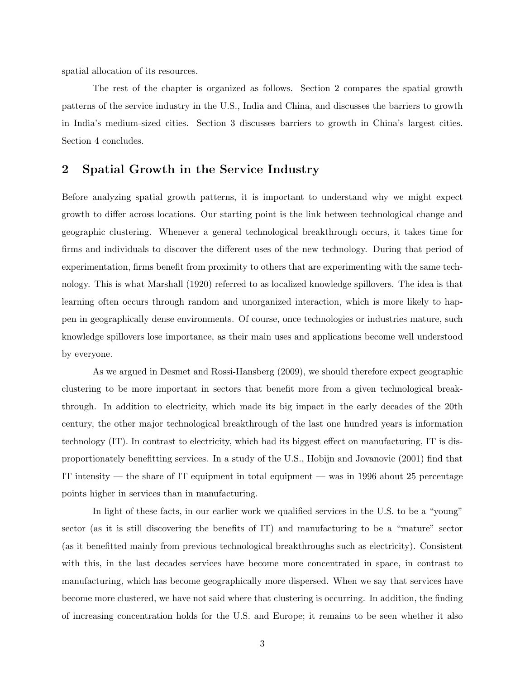spatial allocation of its resources.

The rest of the chapter is organized as follows. Section 2 compares the spatial growth patterns of the service industry in the U.S., India and China, and discusses the barriers to growth in India's medium-sized cities. Section 3 discusses barriers to growth in China's largest cities. Section 4 concludes.

### 2 Spatial Growth in the Service Industry

Before analyzing spatial growth patterns, it is important to understand why we might expect growth to differ across locations. Our starting point is the link between technological change and geographic clustering. Whenever a general technological breakthrough occurs, it takes time for firms and individuals to discover the different uses of the new technology. During that period of experimentation, firms benefit from proximity to others that are experimenting with the same technology. This is what Marshall (1920) referred to as localized knowledge spillovers. The idea is that learning often occurs through random and unorganized interaction, which is more likely to happen in geographically dense environments. Of course, once technologies or industries mature, such knowledge spillovers lose importance, as their main uses and applications become well understood by everyone.

As we argued in Desmet and Rossi-Hansberg (2009), we should therefore expect geographic clustering to be more important in sectors that benefit more from a given technological breakthrough. In addition to electricity, which made its big impact in the early decades of the 20th century, the other major technological breakthrough of the last one hundred years is information technology (IT). In contrast to electricity, which had its biggest effect on manufacturing, IT is disproportionately benefitting services. In a study of the U.S., Hobijn and Jovanovic (2001) find that IT intensity — the share of IT equipment in total equipment — was in 1996 about 25 percentage points higher in services than in manufacturing.

In light of these facts, in our earlier work we qualified services in the U.S. to be a "young" sector (as it is still discovering the benefits of IT) and manufacturing to be a "mature" sector (as it benefitted mainly from previous technological breakthroughs such as electricity). Consistent with this, in the last decades services have become more concentrated in space, in contrast to manufacturing, which has become geographically more dispersed. When we say that services have become more clustered, we have not said where that clustering is occurring. In addition, the finding of increasing concentration holds for the U.S. and Europe; it remains to be seen whether it also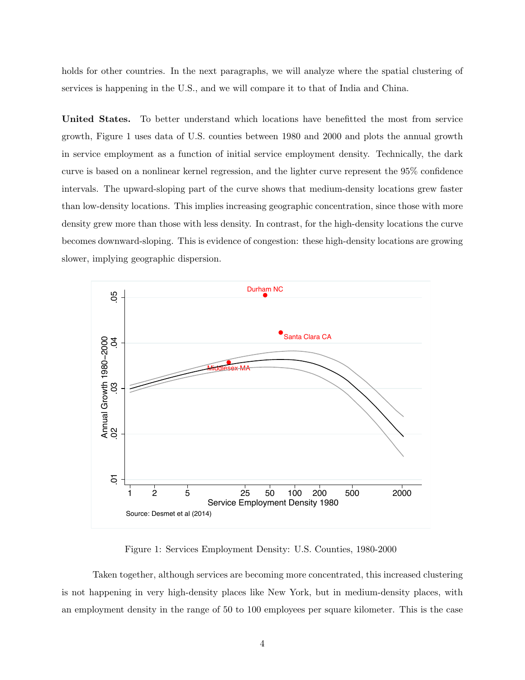holds for other countries. In the next paragraphs, we will analyze where the spatial clustering of services is happening in the U.S., and we will compare it to that of India and China.

United States. To better understand which locations have benefitted the most from service growth, Figure 1 uses data of U.S. counties between 1980 and 2000 and plots the annual growth in service employment as a function of initial service employment density. Technically, the dark curve is based on a nonlinear kernel regression, and the lighter curve represent the 95% confidence intervals. The upward-sloping part of the curve shows that medium-density locations grew faster than low-density locations. This implies increasing geographic concentration, since those with more density grew more than those with less density. In contrast, for the high-density locations the curve becomes downward-sloping. This is evidence of congestion: these high-density locations are growing slower, implying geographic dispersion.



Figure 1: Services Employment Density: U.S. Counties, 1980-2000

Taken together, although services are becoming more concentrated, this increased clustering is not happening in very high-density places like New York, but in medium-density places, with an employment density in the range of 50 to 100 employees per square kilometer. This is the case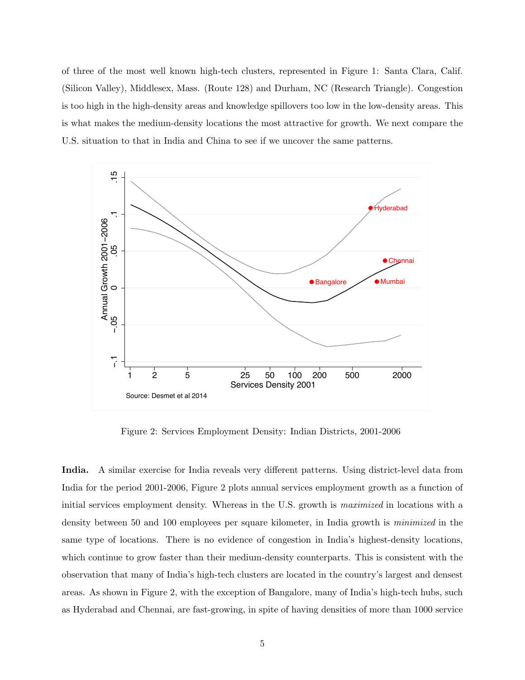of three of the most well known high-tech clusters, represented in Figure 1: Santa Clara, Calif. (Silicon Valley), Middlesex, Mass. (Route 128) and Durham, NC (Research Triangle). Congestion is too high in the high-density areas and knowledge spillovers too low in the low-density areas. This is what makes the medium-density locations the most attractive for growth. We next compare the U.S. situation to that in India and China to see if we uncover the same patterns.



Figure 2: Services Employment Density: Indian Districts, 2001-2006

India. A similar exercise for India reveals very different patterns. Using district-level data from India for the period 2001-2006, Figure 2 plots annual services employment growth as a function of initial services employment density. Whereas in the U.S. growth is maximized in locations with a density between 50 and 100 employees per square kilometer, in India growth is *minimized* in the same type of locations. There is no evidence of congestion in India's highest-density locations, which continue to grow faster than their medium-density counterparts. This is consistent with the observation that many of India's high-tech clusters are located in the country's largest and densest areas. As shown in Figure 2, with the exception of Bangalore, many of India's high-tech hubs, such as Hyderabad and Chennai, are fast-growing, in spite of having densities of more than 1000 service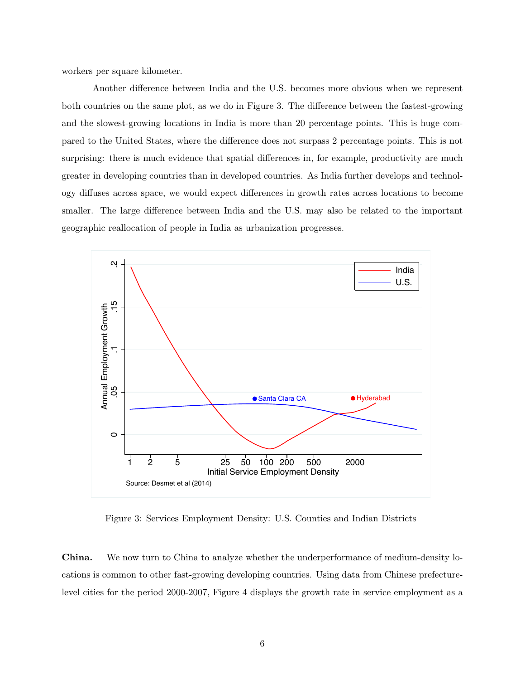workers per square kilometer.

Another difference between India and the U.S. becomes more obvious when we represent both countries on the same plot, as we do in Figure 3. The difference between the fastest-growing and the slowest-growing locations in India is more than 20 percentage points. This is huge compared to the United States, where the difference does not surpass 2 percentage points. This is not surprising: there is much evidence that spatial differences in, for example, productivity are much greater in developing countries than in developed countries. As India further develops and technology diffuses across space, we would expect differences in growth rates across locations to become smaller. The large difference between India and the U.S. may also be related to the important geographic reallocation of people in India as urbanization progresses.



Figure 3: Services Employment Density: U.S. Counties and Indian Districts

China. We now turn to China to analyze whether the underperformance of medium-density locations is common to other fast-growing developing countries. Using data from Chinese prefecturelevel cities for the period 2000-2007, Figure 4 displays the growth rate in service employment as a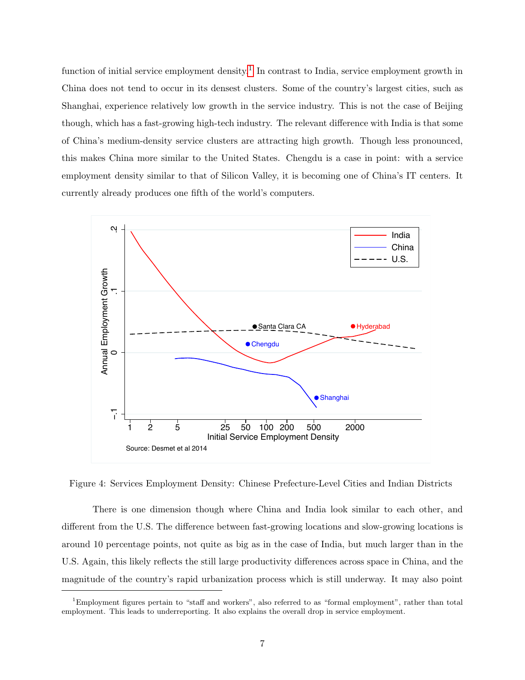function of initial service employment density.<sup>[1](#page-6-0)</sup> In contrast to India, service employment growth in China does not tend to occur in its densest clusters. Some of the country's largest cities, such as Shanghai, experience relatively low growth in the service industry. This is not the case of Beijing though, which has a fast-growing high-tech industry. The relevant difference with India is that some of China's medium-density service clusters are attracting high growth. Though less pronounced, this makes China more similar to the United States. Chengdu is a case in point: with a service employment density similar to that of Silicon Valley, it is becoming one of China's IT centers. It currently already produces one fifth of the world's computers.



Figure 4: Services Employment Density: Chinese Prefecture-Level Cities and Indian Districts

There is one dimension though where China and India look similar to each other, and different from the U.S. The difference between fast-growing locations and slow-growing locations is around 10 percentage points, not quite as big as in the case of India, but much larger than in the U.S. Again, this likely reflects the still large productivity differences across space in China, and the magnitude of the country's rapid urbanization process which is still underway. It may also point

<span id="page-6-0"></span><sup>1</sup>Employment figures pertain to "staff and workers", also referred to as "formal employment", rather than total employment. This leads to underreporting. It also explains the overall drop in service employment.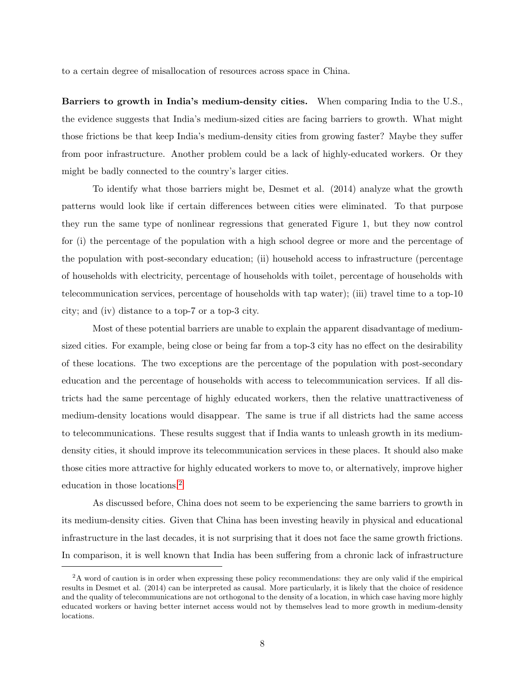to a certain degree of misallocation of resources across space in China.

Barriers to growth in India's medium-density cities. When comparing India to the U.S., the evidence suggests that India's medium-sized cities are facing barriers to growth. What might those frictions be that keep India's medium-density cities from growing faster? Maybe they suffer from poor infrastructure. Another problem could be a lack of highly-educated workers. Or they might be badly connected to the country's larger cities.

To identify what those barriers might be, Desmet et al. (2014) analyze what the growth patterns would look like if certain differences between cities were eliminated. To that purpose they run the same type of nonlinear regressions that generated Figure 1, but they now control for (i) the percentage of the population with a high school degree or more and the percentage of the population with post-secondary education; (ii) household access to infrastructure (percentage of households with electricity, percentage of households with toilet, percentage of households with telecommunication services, percentage of households with tap water); (iii) travel time to a top-10 city; and (iv) distance to a top-7 or a top-3 city.

Most of these potential barriers are unable to explain the apparent disadvantage of mediumsized cities. For example, being close or being far from a top-3 city has no effect on the desirability of these locations. The two exceptions are the percentage of the population with post-secondary education and the percentage of households with access to telecommunication services. If all districts had the same percentage of highly educated workers, then the relative unattractiveness of medium-density locations would disappear. The same is true if all districts had the same access to telecommunications. These results suggest that if India wants to unleash growth in its mediumdensity cities, it should improve its telecommunication services in these places. It should also make those cities more attractive for highly educated workers to move to, or alternatively, improve higher education in those locations.[2](#page-7-0)

As discussed before, China does not seem to be experiencing the same barriers to growth in its medium-density cities. Given that China has been investing heavily in physical and educational infrastructure in the last decades, it is not surprising that it does not face the same growth frictions. In comparison, it is well known that India has been suffering from a chronic lack of infrastructure

<span id="page-7-0"></span><sup>&</sup>lt;sup>2</sup>A word of caution is in order when expressing these policy recommendations: they are only valid if the empirical results in Desmet et al. (2014) can be interpreted as causal. More particularly, it is likely that the choice of residence and the quality of telecommunications are not orthogonal to the density of a location, in which case having more highly educated workers or having better internet access would not by themselves lead to more growth in medium-density locations.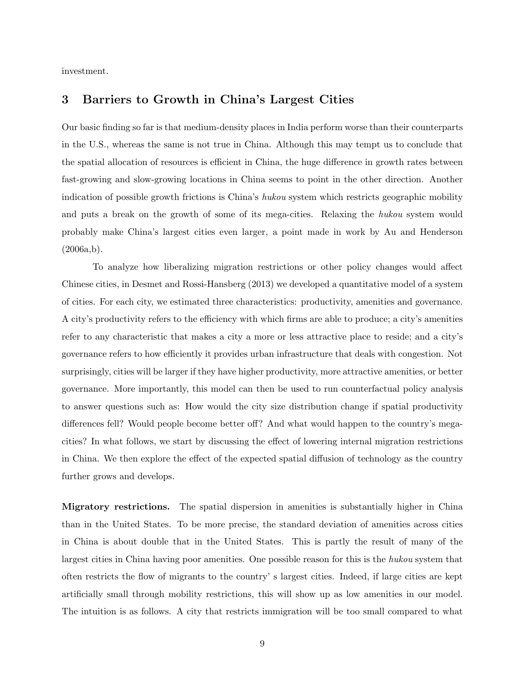investment.

### 3 Barriers to Growth in China's Largest Cities

Our basic finding so far is that medium-density places in India perform worse than their counterparts in the U.S., whereas the same is not true in China. Although this may tempt us to conclude that the spatial allocation of resources is efficient in China, the huge difference in growth rates between fast-growing and slow-growing locations in China seems to point in the other direction. Another indication of possible growth frictions is China's hukou system which restricts geographic mobility and puts a break on the growth of some of its mega-cities. Relaxing the hukou system would probably make China's largest cities even larger, a point made in work by Au and Henderson  $(2006a,b).$ 

To analyze how liberalizing migration restrictions or other policy changes would affect Chinese cities, in Desmet and Rossi-Hansberg (2013) we developed a quantitative model of a system of cities. For each city, we estimated three characteristics: productivity, amenities and governance. A city's productivity refers to the efficiency with which firms are able to produce; a city's amenities refer to any characteristic that makes a city a more or less attractive place to reside; and a city's governance refers to how efficiently it provides urban infrastructure that deals with congestion. Not surprisingly, cities will be larger if they have higher productivity, more attractive amenities, or better governance. More importantly, this model can then be used to run counterfactual policy analysis to answer questions such as: How would the city size distribution change if spatial productivity differences fell? Would people become better off? And what would happen to the country's megacities? In what follows, we start by discussing the effect of lowering internal migration restrictions in China. We then explore the effect of the expected spatial diffusion of technology as the country further grows and develops.

Migratory restrictions. The spatial dispersion in amenities is substantially higher in China than in the United States. To be more precise, the standard deviation of amenities across cities in China is about double that in the United States. This is partly the result of many of the largest cities in China having poor amenities. One possible reason for this is the hukou system that often restricts the flow of migrants to the country' s largest cities. Indeed, if large cities are kept artificially small through mobility restrictions, this will show up as low amenities in our model. The intuition is as follows. A city that restricts immigration will be too small compared to what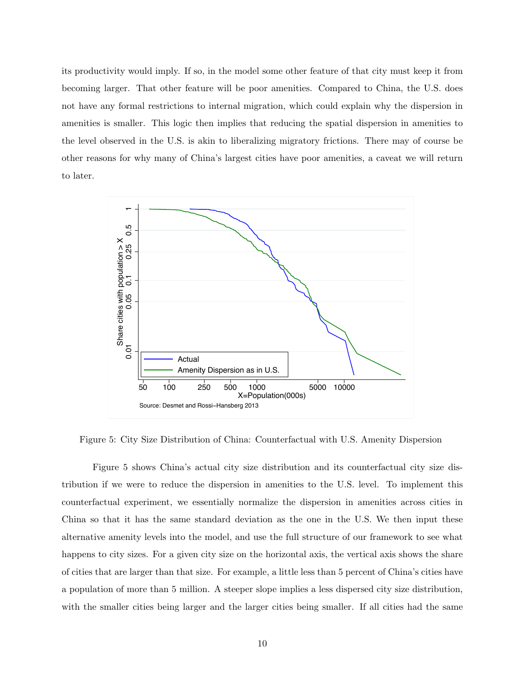its productivity would imply. If so, in the model some other feature of that city must keep it from becoming larger. That other feature will be poor amenities. Compared to China, the U.S. does not have any formal restrictions to internal migration, which could explain why the dispersion in amenities is smaller. This logic then implies that reducing the spatial dispersion in amenities to the level observed in the U.S. is akin to liberalizing migratory frictions. There may of course be other reasons for why many of China's largest cities have poor amenities, a caveat we will return to later.



Figure 5: City Size Distribution of China: Counterfactual with U.S. Amenity Dispersion

Figure 5 shows China's actual city size distribution and its counterfactual city size distribution if we were to reduce the dispersion in amenities to the U.S. level. To implement this counterfactual experiment, we essentially normalize the dispersion in amenities across cities in China so that it has the same standard deviation as the one in the U.S. We then input these alternative amenity levels into the model, and use the full structure of our framework to see what happens to city sizes. For a given city size on the horizontal axis, the vertical axis shows the share of cities that are larger than that size. For example, a little less than 5 percent of China's cities have a population of more than 5 million. A steeper slope implies a less dispersed city size distribution, with the smaller cities being larger and the larger cities being smaller. If all cities had the same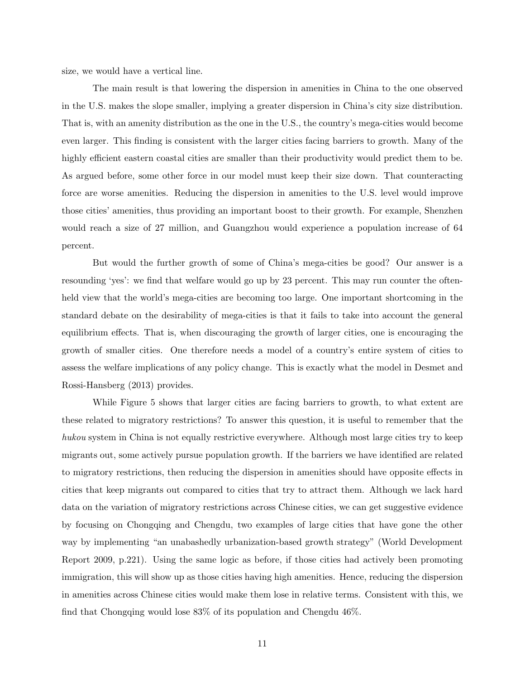size, we would have a vertical line.

The main result is that lowering the dispersion in amenities in China to the one observed in the U.S. makes the slope smaller, implying a greater dispersion in China's city size distribution. That is, with an amenity distribution as the one in the U.S., the country's mega-cities would become even larger. This finding is consistent with the larger cities facing barriers to growth. Many of the highly efficient eastern coastal cities are smaller than their productivity would predict them to be. As argued before, some other force in our model must keep their size down. That counteracting force are worse amenities. Reducing the dispersion in amenities to the U.S. level would improve those cities' amenities, thus providing an important boost to their growth. For example, Shenzhen would reach a size of 27 million, and Guangzhou would experience a population increase of 64 percent.

But would the further growth of some of China's mega-cities be good? Our answer is a resounding 'yes': we find that welfare would go up by 23 percent. This may run counter the oftenheld view that the world's mega-cities are becoming too large. One important shortcoming in the standard debate on the desirability of mega-cities is that it fails to take into account the general equilibrium effects. That is, when discouraging the growth of larger cities, one is encouraging the growth of smaller cities. One therefore needs a model of a country's entire system of cities to assess the welfare implications of any policy change. This is exactly what the model in Desmet and Rossi-Hansberg (2013) provides.

While Figure 5 shows that larger cities are facing barriers to growth, to what extent are these related to migratory restrictions? To answer this question, it is useful to remember that the hukou system in China is not equally restrictive everywhere. Although most large cities try to keep migrants out, some actively pursue population growth. If the barriers we have identified are related to migratory restrictions, then reducing the dispersion in amenities should have opposite effects in cities that keep migrants out compared to cities that try to attract them. Although we lack hard data on the variation of migratory restrictions across Chinese cities, we can get suggestive evidence by focusing on Chongqing and Chengdu, two examples of large cities that have gone the other way by implementing "an unabashedly urbanization-based growth strategy" (World Development Report 2009, p.221). Using the same logic as before, if those cities had actively been promoting immigration, this will show up as those cities having high amenities. Hence, reducing the dispersion in amenities across Chinese cities would make them lose in relative terms. Consistent with this, we find that Chongqing would lose 83% of its population and Chengdu 46%.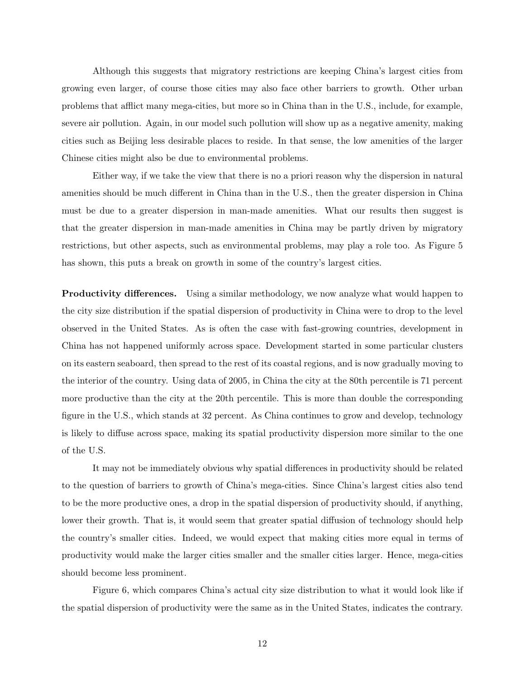Although this suggests that migratory restrictions are keeping China's largest cities from growing even larger, of course those cities may also face other barriers to growth. Other urban problems that afflict many mega-cities, but more so in China than in the U.S., include, for example, severe air pollution. Again, in our model such pollution will show up as a negative amenity, making cities such as Beijing less desirable places to reside. In that sense, the low amenities of the larger Chinese cities might also be due to environmental problems.

Either way, if we take the view that there is no a priori reason why the dispersion in natural amenities should be much different in China than in the U.S., then the greater dispersion in China must be due to a greater dispersion in man-made amenities. What our results then suggest is that the greater dispersion in man-made amenities in China may be partly driven by migratory restrictions, but other aspects, such as environmental problems, may play a role too. As Figure 5 has shown, this puts a break on growth in some of the country's largest cities.

**Productivity differences.** Using a similar methodology, we now analyze what would happen to the city size distribution if the spatial dispersion of productivity in China were to drop to the level observed in the United States. As is often the case with fast-growing countries, development in China has not happened uniformly across space. Development started in some particular clusters on its eastern seaboard, then spread to the rest of its coastal regions, and is now gradually moving to the interior of the country. Using data of 2005, in China the city at the 80th percentile is 71 percent more productive than the city at the 20th percentile. This is more than double the corresponding figure in the U.S., which stands at 32 percent. As China continues to grow and develop, technology is likely to diffuse across space, making its spatial productivity dispersion more similar to the one of the U.S.

It may not be immediately obvious why spatial differences in productivity should be related to the question of barriers to growth of China's mega-cities. Since China's largest cities also tend to be the more productive ones, a drop in the spatial dispersion of productivity should, if anything, lower their growth. That is, it would seem that greater spatial diffusion of technology should help the country's smaller cities. Indeed, we would expect that making cities more equal in terms of productivity would make the larger cities smaller and the smaller cities larger. Hence, mega-cities should become less prominent.

Figure 6, which compares China's actual city size distribution to what it would look like if the spatial dispersion of productivity were the same as in the United States, indicates the contrary.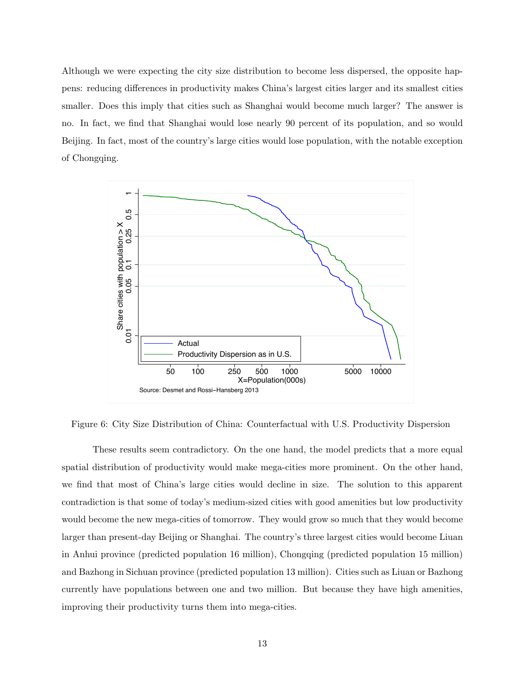Although we were expecting the city size distribution to become less dispersed, the opposite happens: reducing differences in productivity makes China's largest cities larger and its smallest cities smaller. Does this imply that cities such as Shanghai would become much larger? The answer is no. In fact, we find that Shanghai would lose nearly 90 percent of its population, and so would Beijing. In fact, most of the country's large cities would lose population, with the notable exception of Chongqing.



Figure 6: City Size Distribution of China: Counterfactual with U.S. Productivity Dispersion

These results seem contradictory. On the one hand, the model predicts that a more equal spatial distribution of productivity would make mega-cities more prominent. On the other hand, we find that most of China's large cities would decline in size. The solution to this apparent contradiction is that some of today's medium-sized cities with good amenities but low productivity would become the new mega-cities of tomorrow. They would grow so much that they would become larger than present-day Beijing or Shanghai. The country's three largest cities would become Liuan in Anhui province (predicted population 16 million), Chongqing (predicted population 15 million) and Bazhong in Sichuan province (predicted population 13 million). Cities such as Liuan or Bazhong currently have populations between one and two million. But because they have high amenities, improving their productivity turns them into mega-cities.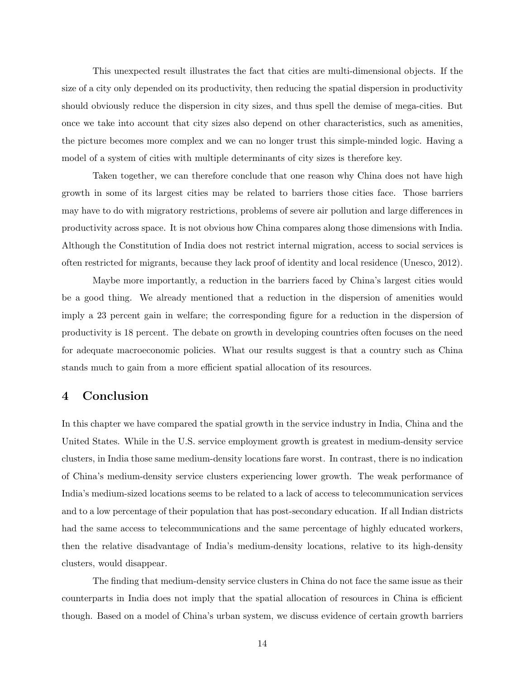This unexpected result illustrates the fact that cities are multi-dimensional objects. If the size of a city only depended on its productivity, then reducing the spatial dispersion in productivity should obviously reduce the dispersion in city sizes, and thus spell the demise of mega-cities. But once we take into account that city sizes also depend on other characteristics, such as amenities, the picture becomes more complex and we can no longer trust this simple-minded logic. Having a model of a system of cities with multiple determinants of city sizes is therefore key.

Taken together, we can therefore conclude that one reason why China does not have high growth in some of its largest cities may be related to barriers those cities face. Those barriers may have to do with migratory restrictions, problems of severe air pollution and large differences in productivity across space. It is not obvious how China compares along those dimensions with India. Although the Constitution of India does not restrict internal migration, access to social services is often restricted for migrants, because they lack proof of identity and local residence (Unesco, 2012).

Maybe more importantly, a reduction in the barriers faced by China's largest cities would be a good thing. We already mentioned that a reduction in the dispersion of amenities would imply a 23 percent gain in welfare; the corresponding figure for a reduction in the dispersion of productivity is 18 percent. The debate on growth in developing countries often focuses on the need for adequate macroeconomic policies. What our results suggest is that a country such as China stands much to gain from a more efficient spatial allocation of its resources.

## 4 Conclusion

In this chapter we have compared the spatial growth in the service industry in India, China and the United States. While in the U.S. service employment growth is greatest in medium-density service clusters, in India those same medium-density locations fare worst. In contrast, there is no indication of China's medium-density service clusters experiencing lower growth. The weak performance of India's medium-sized locations seems to be related to a lack of access to telecommunication services and to a low percentage of their population that has post-secondary education. If all Indian districts had the same access to telecommunications and the same percentage of highly educated workers, then the relative disadvantage of India's medium-density locations, relative to its high-density clusters, would disappear.

The finding that medium-density service clusters in China do not face the same issue as their counterparts in India does not imply that the spatial allocation of resources in China is efficient though. Based on a model of China's urban system, we discuss evidence of certain growth barriers